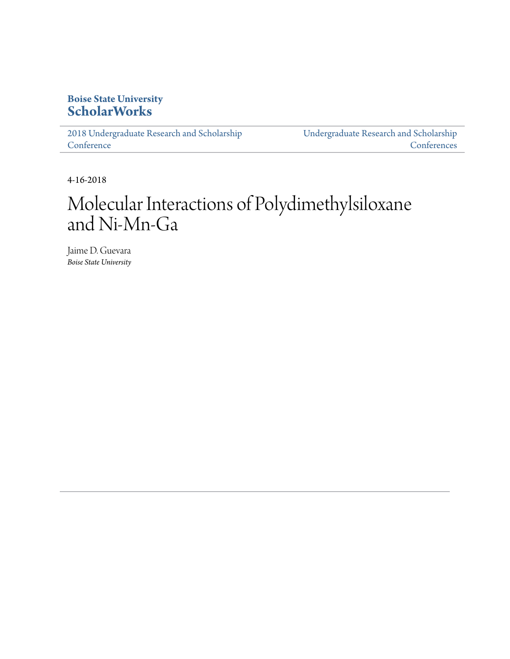### **Boise State University [ScholarWorks](https://scholarworks.boisestate.edu)**

[2018 Undergraduate Research and Scholarship](https://scholarworks.boisestate.edu/under_conf_2018) **[Conference](https://scholarworks.boisestate.edu/under_conf_2018)** 

[Undergraduate Research and Scholarship](https://scholarworks.boisestate.edu/under_conference) [Conferences](https://scholarworks.boisestate.edu/under_conference)

4-16-2018

## Molecular Interactions of Polydimethylsiloxane and Ni-Mn-Ga

Jaime D. Guevara *Boise State University*